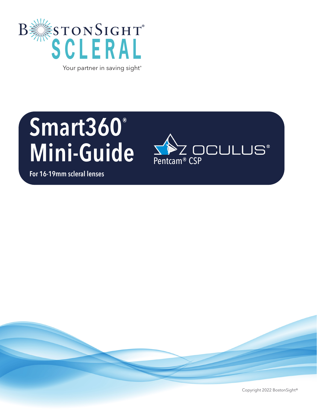

Your partner in saving sight®

# Smart360® Mini-Guide

For 16-19mm scleral lenses



Copyright 2022 BostonSight®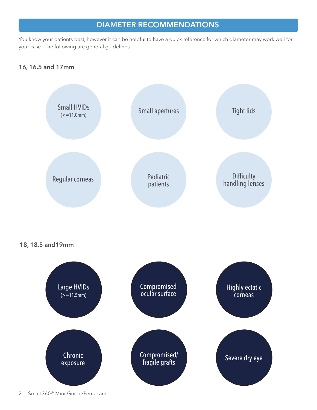#### DIAMETER RECOMMENDATIONS

You know your patients best, however it can be helpful to have a quick reference for which diameter may work well for your case. The following are general guidelines.

#### 16, 16.5 and 17mm



2 Smart360® Mini-Guide/Pentacam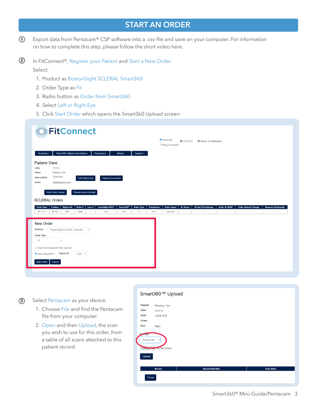### START AN ORDER

- Export data from Pentacam® CSP software into a .csv file and save on your computer. For information on how to complete this step, please follow the short video [here.](https://vimeo.com/719972302) **1**
- In FitConnect®, Register your Patient and Start a New Order. Select: **2**
	- 1. Product as BostonSight SCLERAL Smart360
	- 2. Order Type as Fit
	- 3. Radio button as Order from Smart360
	- 4. Select Left or Right Eye
	- 5. Click Start Order which opens the Smart360 Upload screen

| Accounts $\sim$                                                  | <b>※ FitConnect</b><br>Work With Patients and Orders-                                    |                                 |                             | Resources-               | Admin-            | Support -                |                         | <b>O</b> Practitioner<br>OFitting Consultant | <b>C</b> +LOG OUT                | Return To Dashboard |                                        |                                   |                           |  |
|------------------------------------------------------------------|------------------------------------------------------------------------------------------|---------------------------------|-----------------------------|--------------------------|-------------------|--------------------------|-------------------------|----------------------------------------------|----------------------------------|---------------------|----------------------------------------|-----------------------------------|---------------------------|--|
| <b>Patient View</b><br>CRN:<br>Name:<br>Date of Birth:<br>Email: | 121212<br>Shipping, Test<br>12/05/1975<br>test@shipping.com<br><b>View Order History</b> | <b>Patient Invoice Activity</b> | <b>Edit Patient Info</b>    | <b>Patient Documents</b> |                   |                          |                         |                                              |                                  |                     |                                        |                                   |                           |  |
| <b>SCLERAL Orders</b>                                            |                                                                                          |                                 |                             |                          |                   |                          |                         |                                              |                                  |                     |                                        |                                   |                           |  |
| <b>Order Date</b><br>2021-10-14                                  | Product<br><b>Right/Left</b><br><b>BSS 18.0</b><br>Right                                 | Order #<br>376447               | Lens $\#$<br>$\overline{1}$ | SmartSight HOA™<br>None  | Smart360™<br>None | <b>Order Type</b><br>Fit | Practitioner<br>Test, T | <b>Order Status</b><br>Submitted             | <b>Rx Status</b><br>$\mathbf{r}$ | 90 day Fit Exchange | <b>Order Rx Refill</b><br>$\mathbf{r}$ | <b>Order Material Change</b><br>٠ | <b>Request Lab Remake</b> |  |

Smart360™ Upload

- Select Pentacam as your device. **3**
	- 1. Choose File and find the Pentacam file from your computer.
	- 2. Open and then Upload, the scan you wish to use for this order, from a table of all scans attached to this patient record.

| Shipping, Test                             |               |                                        |
|--------------------------------------------|---------------|----------------------------------------|
| 121212                                     |               |                                        |
| 12/05/1975                                 |               |                                        |
|                                            |               |                                        |
| Right                                      |               |                                        |
| PentaCam v<br>Choose File   No file chosen |               | <b>Scan Date</b>                       |
|                                            |               |                                        |
| Close                                      |               |                                        |
|                                            | <b>Device</b> | S <sub>1</sub><br><b>Record Number</b> |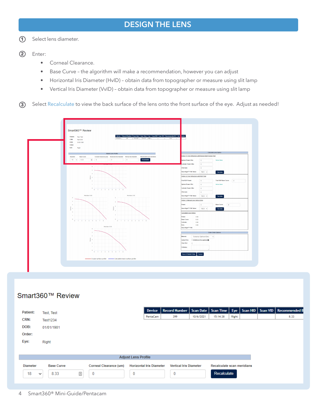# DESIGN THE LENS

**1** Select lens diameter.

#### **2** Enter:

- Corneal Clearance.
- Base Curve the algorithm will make a recommendation, however you can adjust
- Horizontal Iris Diameter (HvID) obtain data from topographer or measure using slit lamp
- Vertical Iris Diameter (VvID) obtain data from topographer or measure using slit lamp

**3** Select Recalculate to view the back surface of the lens onto the front surface of the eye. Adjust as needed!



#### Smart360™ Review

| <b>Patient:</b> | Test, Test        |                        | Device                          | Record Number   Scan Date   Scan Time   Eye   Scan HID   Scan VID   Recommended B |           |                            |       |  |  |
|-----------------|-------------------|------------------------|---------------------------------|-----------------------------------------------------------------------------------|-----------|----------------------------|-------|--|--|
| CRN:            | <b>Test1234</b>   |                        | PentaCam                        | 399                                                                               | 10/6/2021 | 15:14:38                   | Right |  |  |
| DOB:            | 01/01/1901        |                        |                                 |                                                                                   |           |                            |       |  |  |
| Order:          |                   |                        |                                 |                                                                                   |           |                            |       |  |  |
| Eye:            | Right             |                        |                                 |                                                                                   |           |                            |       |  |  |
|                 |                   |                        |                                 |                                                                                   |           |                            |       |  |  |
|                 |                   |                        | <b>Adjust Lens Profile</b>      |                                                                                   |           |                            |       |  |  |
|                 |                   |                        |                                 |                                                                                   |           |                            |       |  |  |
| <b>Diameter</b> | <b>Base Curve</b> | Corneal Clearance (um) | <b>Horizontal Iris Diameter</b> | <b>Vertical Iris Diameter</b>                                                     |           | Recalculate scan meridians |       |  |  |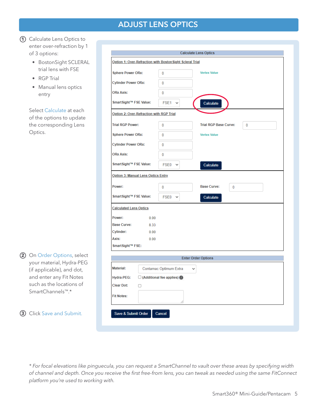# ADJUST LENS OPTICS

- **1** Calculate Lens Optics to enter over-refraction by 1 of 3 options:
	- BostonSight SCLERAL trial lens with FSE
	- RGP Trial
	- Manual lens optics entry

Select Calculate at each of the options to update the corresponding Lens Optics.

- 2 On Order Options, select your material, Hydra-PEG (if applicable), and dot, and enter any Fit Notes such as the locations of SmartChannels™.\*
- Click Save and Submit. **3**

|                                          | Option 1: Over-Refraction with Boston Sight Scleral Trial |                                          |
|------------------------------------------|-----------------------------------------------------------|------------------------------------------|
| <b>Sphere Power ORx:</b>                 | 0                                                         | <b>Vertex Value</b>                      |
| <b>Cylinder Power ORx:</b>               | $\mathbf{0}$                                              |                                          |
| <b>ORx Axis:</b>                         | 0                                                         |                                          |
| SmartSight™ FSE Value:                   | FSE1 $\vee$                                               | Calculate                                |
| Option 2: Over-Refraction with RGP Trial |                                                           |                                          |
| <b>Trial RGP Power:</b>                  | 0                                                         | <b>Trial RGP Base Curve:</b><br>$\bf{0}$ |
| <b>Sphere Power ORx:</b>                 | 0                                                         | <b>Vertex Value</b>                      |
| <b>Cylinder Power ORx:</b>               | 0                                                         |                                          |
| <b>ORx Axis:</b>                         | 0                                                         |                                          |
| SmartSight™ FSE Value:                   | $FSE0 \sim$                                               | Calculate                                |
| Option 3: Manual Lens Optics Entry       |                                                           |                                          |
| Power:                                   | 0                                                         | <b>Base Curve:</b><br>0                  |
| SmartSight™ FSE Value:                   | $FSE0 \sim$                                               | Calculate                                |
| <b>Calculated Lens Optics</b>            |                                                           |                                          |
| Power:<br>0.00                           |                                                           |                                          |
| <b>Base Curve:</b><br>8.33               |                                                           |                                          |
| Cylinder:<br>0.00                        |                                                           |                                          |
| Axis:<br>0.00                            |                                                           |                                          |
| SmartSight™ FSE:                         |                                                           |                                          |
|                                          |                                                           | <b>Enter Order Options</b>               |
| <b>Material:</b>                         | Contamac Optimum Extra                                    | $\checkmark$                             |
|                                          | $\Box$ (Additional fee applies)                           |                                          |
| Hydra-PEG:                               |                                                           |                                          |
| <b>Clear Dot:</b><br>0                   |                                                           |                                          |

*\* For focal elevations like pinguecula, you can request a SmartChannel to vault over these areas by specifying width of channel and depth. Once you receive the first free-from lens, you can tweak as needed using the same FitConnect platform you're used to working with.*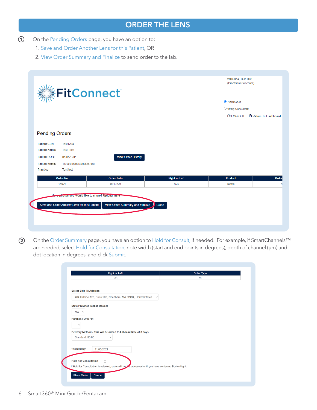#### ORDER THE LENS

- On the Pending Orders page, you have an option to: **1**
	- 1. Save and Order Another Lens for this Patient, OR
	- 2. View Order Summary and Finalize to send order to the lab.

|                       | <b>▒FitConnect</b>      |                           |                      | Welcome, Test Test!<br>(Practitioner Account) |                                       |
|-----------------------|-------------------------|---------------------------|----------------------|-----------------------------------------------|---------------------------------------|
|                       |                         |                           |                      | <b>OPractitioner</b>                          |                                       |
|                       |                         |                           |                      | OFitting Consultant                           |                                       |
|                       |                         |                           |                      |                                               | <b>■LOG OUT © Return To Dashboard</b> |
|                       |                         |                           |                      |                                               |                                       |
| <b>Pending Orders</b> |                         |                           |                      |                                               |                                       |
| <b>Patient CRN:</b>   | <b>Test1234</b>         |                           |                      |                                               |                                       |
| <b>Patient Name:</b>  | Test, Test              |                           |                      |                                               |                                       |
| <b>Patient DOB:</b>   | 01/01/1901              | <b>View Order History</b> |                      |                                               |                                       |
| <b>Patient Email:</b> | ssharer@bostonsight.org |                           |                      |                                               |                                       |
| Practice:             | <b>Test test</b>        |                           |                      |                                               |                                       |
|                       | <b>Order No</b>         | <b>Order Date</b>         | <b>Right or Left</b> | <b>Product</b>                                | Order                                 |
|                       | 376449                  | 2021-10-21                | Right                | BSS360                                        |                                       |

On the Order Summary page, you have an option to Hold for Consult, if needed. For example, if SmartChannels™ are needed, select Hold for Consultation, note width (start and end points in degrees), depth of channel (µm) and dot location in degrees, and click Submit. **2**

| <b>Right or Left</b>                                                                                    | <b>Order Type</b> |  |
|---------------------------------------------------------------------------------------------------------|-------------------|--|
| Left                                                                                                    | Fit               |  |
|                                                                                                         |                   |  |
| <b>Select Ship To Address:</b>                                                                          |                   |  |
| 464 Hillside Ave, Suite 206, Needham, MA 02494, United States<br>$\checkmark$                           |                   |  |
| <b>State/Province license issued:</b>                                                                   |                   |  |
| $MA \sim$                                                                                               |                   |  |
| <b>Purchase Order#:</b>                                                                                 |                   |  |
| $\checkmark$                                                                                            |                   |  |
| Delivery Method - This will be added to Lab lead time of 3 days                                         |                   |  |
| Standard: \$0.00                                                                                        |                   |  |
|                                                                                                         |                   |  |
| *Needed By:<br>11/05/2021                                                                               |                   |  |
|                                                                                                         |                   |  |
| <b>Hold For Consultation</b><br>$\Box$                                                                  |                   |  |
| If Hold for Consultation is selected, order will not be processed until you have contacted BostonSight. |                   |  |
| Place Order<br>Cancel                                                                                   |                   |  |
|                                                                                                         |                   |  |